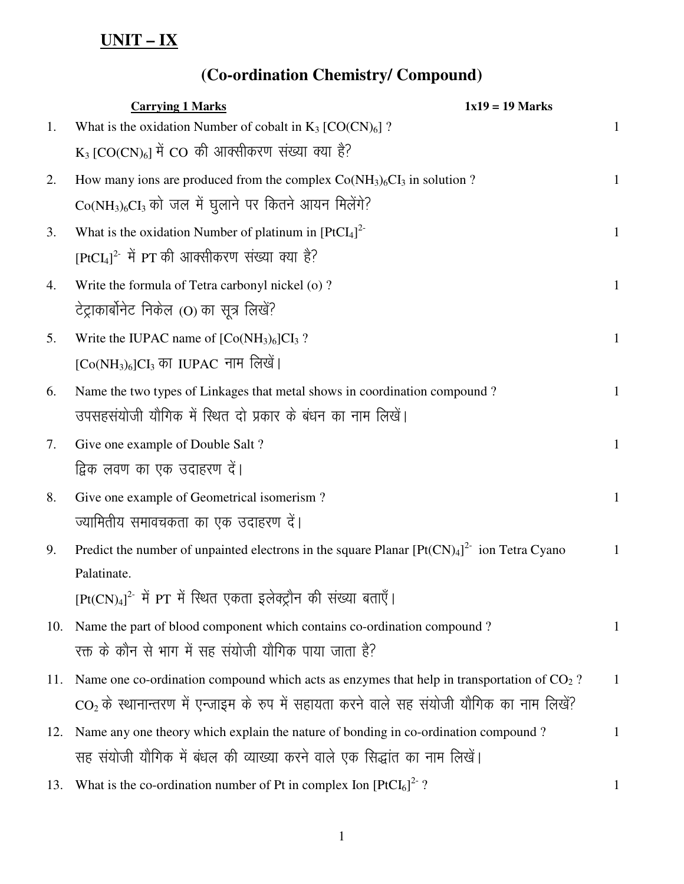## **UNIT – IX**

## **(Co-ordination Chemistry/ Compound)**

|     | <b>Carrying 1 Marks</b>                                                                                | $1x19 = 19$ Marks |  |
|-----|--------------------------------------------------------------------------------------------------------|-------------------|--|
| 1.  | What is the oxidation Number of cobalt in $K_3$ [CO(CN) <sub>6</sub> ]?                                | $\mathbf{1}$      |  |
|     | $K_3$ [CO(CN) <sub>6</sub> ] में CO की आक्सीकरण संख्या क्या है?                                        |                   |  |
| 2.  | How many ions are produced from the complex $Co(NH_3)_6Cl_3$ in solution ?                             | $\mathbf{1}$      |  |
|     | $Co(NH3)6CI3$ को जल में घुलाने पर कितने आयन मिलेंगे?                                                   |                   |  |
| 3.  | What is the oxidation Number of platinum in $[PtCl4]2$                                                 | $\mathbf{1}$      |  |
|     | $[PLCL]^{2-}$ में PT की आक्सीकरण संख्या क्या है?                                                       |                   |  |
| 4.  | Write the formula of Tetra carbonyl nickel (o)?                                                        | $\mathbf{1}$      |  |
|     | टेट्राकार्बोनेट निकेल (O) का सूत्र लिखें?                                                              |                   |  |
| 5.  | Write the IUPAC name of $[Co(NH3)6]CI3$ ?                                                              | $\mathbf{1}$      |  |
|     | $[Co(NH3)6]CI3$ का IUPAC नाम लिखें।                                                                    |                   |  |
| 6.  | Name the two types of Linkages that metal shows in coordination compound?                              | $\mathbf{1}$      |  |
|     | उपसहसंयोजी यौगिक में स्थित दो प्रकार के बंधन का नाम लिखें।                                             |                   |  |
| 7.  | Give one example of Double Salt?                                                                       | $\mathbf{1}$      |  |
|     | द्विक लवण का एक उदाहरण दें।                                                                            |                   |  |
| 8.  | Give one example of Geometrical isomerism?                                                             | $\mathbf{1}$      |  |
|     | ज्यामितीय समावचकता का एक उदाहरण दें।                                                                   |                   |  |
| 9.  | Predict the number of unpainted electrons in the square Planar $[Pt(CN)4]2$ ion Tetra Cyano            | 1                 |  |
|     | Palatinate.                                                                                            |                   |  |
|     | $[Pt(CN)_4]^2$ में PT में स्थित एकता इलेक्ट्रौन की संख्या बताएँ।                                       |                   |  |
| 10. | Name the part of blood component which contains co-ordination compound?                                | 1                 |  |
|     | रक्त के कौन से भाग में सह संयोजी यौगिक पाया जाता है?                                                   |                   |  |
| 11. | Name one co-ordination compound which acts as enzymes that help in transportation of CO <sub>2</sub> ? | $\mathbf{1}$      |  |
|     | $CO2$ के स्थानान्तरण में एन्जाइम के रुप में सहायता करने वाले सह संयोजी यौगिक का नाम लिखें?             |                   |  |
| 12. | Name any one theory which explain the nature of bonding in co-ordination compound?                     | $\mathbf{1}$      |  |
|     | सह संयोजी यौगिक में बंधल की व्याख्या करने वाले एक सिद्धांत का नाम लिखें।                               |                   |  |
| 13. | What is the co-ordination number of Pt in complex Ion $[PCI_6]^2$ ?                                    | 1                 |  |
|     |                                                                                                        |                   |  |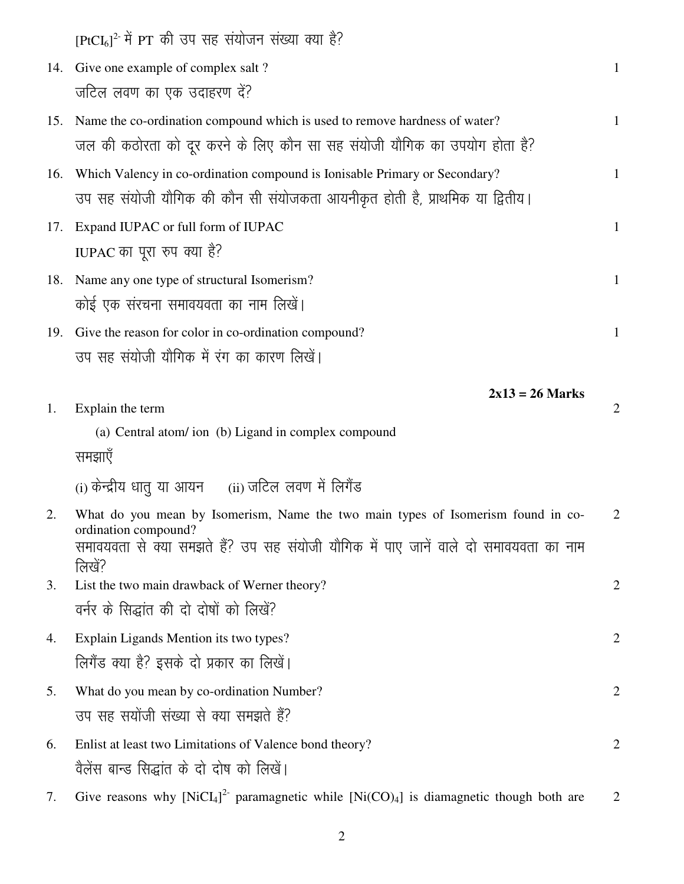|     | $[PLCL_6]^2$ में PT की उप सह संयोजन संख्या क्या है?                                                          |                |
|-----|--------------------------------------------------------------------------------------------------------------|----------------|
|     | 14. Give one example of complex salt?                                                                        | $\mathbf{1}$   |
|     | जटिल लवण का एक उदाहरण दें?                                                                                   |                |
| 15. | Name the co-ordination compound which is used to remove hardness of water?                                   | $\mathbf{1}$   |
|     | जल की कठोरता को दूर करने के लिए कौन सा सह संयोजी यौगिक का उपयोग होता है?                                     |                |
| 16. | Which Valency in co-ordination compound is Ionisable Primary or Secondary?                                   | $\mathbf{1}$   |
|     | उप सह संयोजी यौगिक की कौन सी संयोजकता आयनीकृत होती है, प्राथमिक या द्वितीय।                                  |                |
| 17. | Expand IUPAC or full form of IUPAC                                                                           | $\mathbf{1}$   |
|     | IUPAC का पूरा रुप क्या है?                                                                                   |                |
| 18. | Name any one type of structural Isomerism?                                                                   | $\mathbf{1}$   |
|     | कोई एक संरचना समावयवता का नाम लिखें।                                                                         |                |
|     | 19. Give the reason for color in co-ordination compound?                                                     | $\mathbf{1}$   |
|     | उप सह संयोजी यौगिक में रंग का कारण लिखें।                                                                    |                |
|     | $2x13 = 26$ Marks                                                                                            |                |
| 1.  | Explain the term                                                                                             | 2              |
|     | (a) Central atom/ ion (b) Ligand in complex compound                                                         |                |
|     | समझाएँ                                                                                                       |                |
|     | (i) केन्द्रीय धातु या आयन (ii) जटिल लवण में लिगैंड                                                           |                |
| 2.  | What do you mean by Isomerism, Name the two main types of Isomerism found in co-                             | 2              |
|     | ordination compound?<br>समावयवता से क्या समझते हैं? उप सह संयोजी यौगिक में पाए जानें वाले दो समावयवता का नाम |                |
|     | लिखें?                                                                                                       |                |
| 3.  | List the two main drawback of Werner theory?                                                                 | $\overline{2}$ |
|     | वर्नर के सिद्धांत की दो दोषों को लिखें?                                                                      |                |
| 4.  | Explain Ligands Mention its two types?                                                                       | $\overline{2}$ |
|     | लिगैंड क्या है? इसके दो प्रकार का लिखें।                                                                     |                |
| 5.  | What do you mean by co-ordination Number?                                                                    | $\overline{2}$ |
|     | उप सह सयोंजी संख्या से क्या समझते हैं?                                                                       |                |
| 6.  | Enlist at least two Limitations of Valence bond theory?                                                      | $\overline{2}$ |
|     | वैलेंस बान्ड सिद्धांत के दो दोष को लिखें।                                                                    |                |
| 7.  | Give reasons why $[NiCl4]2$ paramagnetic while $[Ni(CO)4]$ is diamagnetic though both are                    | 2              |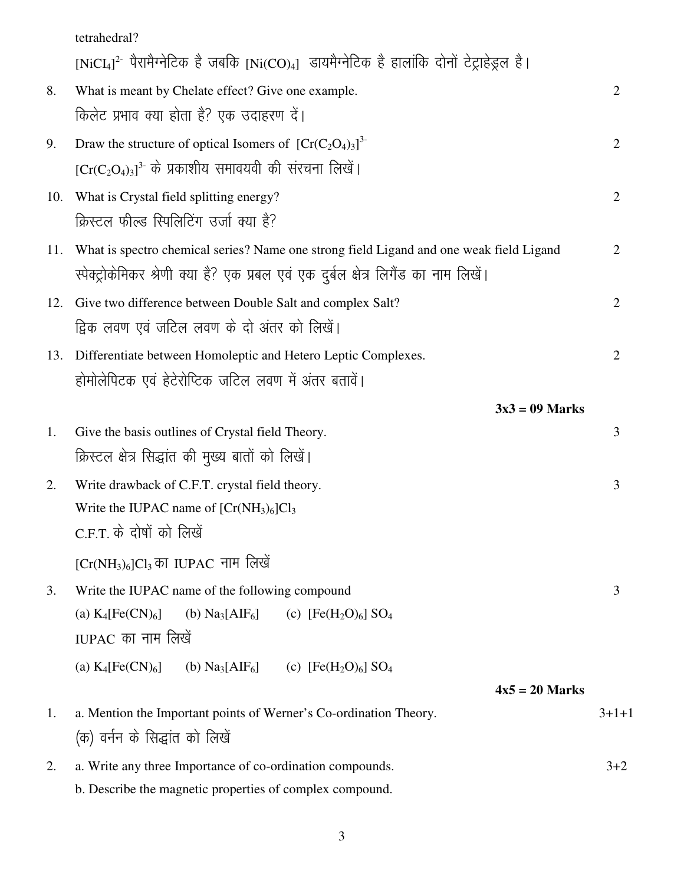|     | tetrahedral?                                                                                                                                                                    |                |
|-----|---------------------------------------------------------------------------------------------------------------------------------------------------------------------------------|----------------|
|     | $[NiCl4]2$ पैरामैग्नेटिक है जबकि $[Ni(CO)4]$ डायमैग्नेटिक है हालांकि दोनों टेट्राहेड्रल है।                                                                                     |                |
| 8.  | What is meant by Chelate effect? Give one example.                                                                                                                              | $\overline{2}$ |
|     | किलेट प्रभाव क्या होता है? एक उदाहरण दें।                                                                                                                                       |                |
| 9.  | Draw the structure of optical Isomers of $[Cr(C_2O_4)_3]^{3-}$                                                                                                                  | $\overline{2}$ |
|     | $[Cr(C_2O_4)_3]^3$ के प्रकाशीय समावयवी की संरचना लिखें।                                                                                                                         |                |
| 10. | What is Crystal field splitting energy?                                                                                                                                         | $\overline{2}$ |
|     | क्रिस्टल फील्ड स्पिलिटिंग उर्जा क्या है?                                                                                                                                        |                |
| 11. | What is spectro chemical series? Name one strong field Ligand and one weak field Ligand<br>स्पेक्ट्रोकेमिकर श्रेणी क्या है? एक प्रबल एवं एक दुर्बल क्षेत्र लिगैंड का नाम लिखें। | $\overline{2}$ |
| 12. | Give two difference between Double Salt and complex Salt?                                                                                                                       | $\overline{2}$ |
|     | द्विक लवण एवं जटिल लवण के दो अंतर को लिखें।                                                                                                                                     |                |
| 13. | Differentiate between Homoleptic and Hetero Leptic Complexes.                                                                                                                   | $\overline{2}$ |
|     | होमोलेपिटक एवं हेटेरोप्टिक जटिल लवण में अंतर बतावें।                                                                                                                            |                |
|     | $3x3 = 09$ Marks                                                                                                                                                                |                |
| 1.  | Give the basis outlines of Crystal field Theory.                                                                                                                                | 3              |
|     | क्रिस्टल क्षेत्र सिद्धांत की मुख्य बातों को लिखें।                                                                                                                              |                |
| 2.  | Write drawback of C.F.T. crystal field theory.                                                                                                                                  | 3              |
|     | Write the IUPAC name of $[Cr(NH3)6]Cl3$                                                                                                                                         |                |
|     | C.F.T. के दोषों को लिखें                                                                                                                                                        |                |
|     | $[Cr(NH3)6]Cl3$ का IUPAC नाम लिखें                                                                                                                                              |                |
| 3.  | Write the IUPAC name of the following compound                                                                                                                                  | 3              |
|     | (a) $K_4[Fe(CN)_6]$<br>(b) $\text{Na}_3[\text{AlF}_6]$<br>(c) $[Fe(H_2O)_6]$ SO <sub>4</sub>                                                                                    |                |
|     | IUPAC का नाम लिखें                                                                                                                                                              |                |
|     | (a) $K_4[Fe(CN)_6]$<br>(b) $\text{Na}_3[\text{AlF}_6]$ (c) $[\text{Fe}(\text{H}_2\text{O})_6]$ $\text{SO}_4$                                                                    |                |
| 1.  | $4x5 = 20$ Marks<br>a. Mention the Important points of Werner's Co-ordination Theory.                                                                                           | $3+1+1$        |
|     | (क) वर्नन के सिद्धांत को लिखें                                                                                                                                                  |                |
| 2.  | a. Write any three Importance of co-ordination compounds.                                                                                                                       | $3 + 2$        |
|     | b. Describe the magnetic properties of complex compound.                                                                                                                        |                |